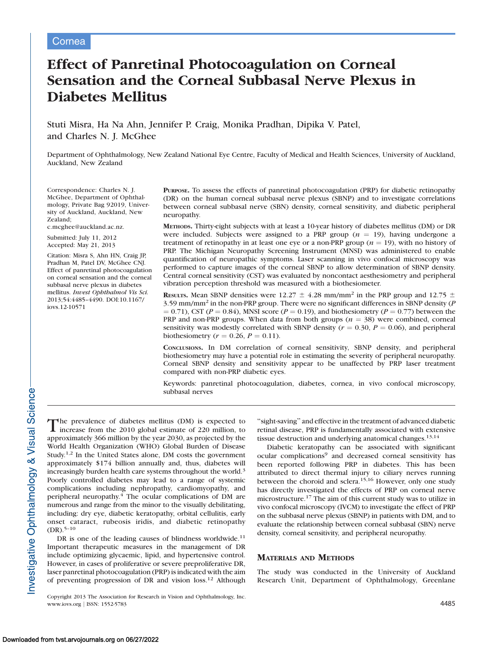# Effect of Panretinal Photocoagulation on Corneal Sensation and the Corneal Subbasal Nerve Plexus in Diabetes Mellitus

Stuti Misra, Ha Na Ahn, Jennifer P. Craig, Monika Pradhan, Dipika V. Patel, and Charles N. J. McGhee

Department of Ophthalmology, New Zealand National Eye Centre, Faculty of Medical and Health Sciences, University of Auckland, Auckland, New Zealand

Correspondence: Charles N. J. McGhee, Department of Ophthalmology, Private Bag 92019, University of Auckland, Auckland, New Zealand; c.mcghee@auckland.ac.nz.

Submitted: July 11, 2012

Accepted: May 21, 2013 Citation: Misra S, Ahn HN, Craig JP,

Pradhan M, Patel DV, McGhee CNJ. Effect of panretinal photocoagulation on corneal sensation and the corneal subbasal nerve plexus in diabetes mellitus. Invest Ophthalmol Vis Sci. 2013;54:4485–4490. DOI:10.1167/ iovs.12-10571

PURPOSE. To assess the effects of panretinal photocoagulation (PRP) for diabetic retinopathy (DR) on the human corneal subbasal nerve plexus (SBNP) and to investigate correlations between corneal subbasal nerve (SBN) density, corneal sensitivity, and diabetic peripheral neuropathy.

METHODS. Thirty-eight subjects with at least a 10-year history of diabetes mellitus (DM) or DR were included. Subjects were assigned to a PRP group  $(n = 19)$ , having undergone a treatment of retinopathy in at least one eye or a non-PRP group ( $n = 19$ ), with no history of PRP. The Michigan Neuropathy Screening Instrument (MNSI) was administered to enable quantification of neuropathic symptoms. Laser scanning in vivo confocal microscopy was performed to capture images of the corneal SBNP to allow determination of SBNP density. Central corneal sensitivity (CST) was evaluated by noncontact aesthesiometry and peripheral vibration perception threshold was measured with a biothesiometer.

RESULTS. Mean SBNP densities were 12.27  $\pm$  4.28 mm/mm<sup>2</sup> in the PRP group and 12.75  $\pm$ 3.59 mm/mm<sup>2</sup> in the non-PRP group. There were no significant differences in SBNP density ( $P$ )  $(0.71)$ , CST ( $P = 0.84$ ), MNSI score ( $P = 0.19$ ), and biothesiometry ( $P = 0.77$ ) between the PRP and non-PRP groups. When data from both groups ( $n = 38$ ) were combined, corneal sensitivity was modestly correlated with SBNP density ( $r = 0.30$ ,  $P = 0.06$ ), and peripheral biothesiometry ( $r = 0.26$ ,  $P = 0.11$ ).

CONCLUSIONS. In DM correlation of corneal sensitivity, SBNP density, and peripheral biothesiometry may have a potential role in estimating the severity of peripheral neuropathy. Corneal SBNP density and sensitivity appear to be unaffected by PRP laser treatment compared with non-PRP diabetic eyes.

Keywords: panretinal photocoagulation, diabetes, cornea, in vivo confocal microscopy, subbasal nerves

The prevalence of diabetes mellitus (DM) is expected to increase from the 2010 global estimate of 220 million, to approximately 366 million by the year 2030, as projected by the World Health Organization (WHO) Global Burden of Disease Study.1,2 In the United States alone, DM costs the government approximately \$174 billion annually and, thus, diabetes will increasingly burden health care systems throughout the world.<sup>3</sup> Poorly controlled diabetes may lead to a range of systemic complications including nephropathy, cardiomyopathy, and peripheral neuropathy.4 The ocular complications of DM are numerous and range from the minor to the visually debilitating, including: dry eye, diabetic keratopathy, orbital cellulitis, early onset cataract, rubeosis iridis, and diabetic retinopathy  $(DR).$ <sup>5-10</sup>

DR is one of the leading causes of blindness worldwide.<sup>11</sup> Important therapeutic measures in the management of DR include optimizing glycaemic, lipid, and hypertensive control. However, in cases of proliferative or severe preproliferative DR, laser panretinal photocoagulation (PRP) is indicated with the aim of preventing progression of DR and vision loss.<sup>12</sup> Although ''sight-saving'' and effective in the treatment of advanced diabetic retinal disease, PRP is fundamentally associated with extensive tissue destruction and underlying anatomical changes.13,14

Diabetic keratopathy can be associated with significant ocular complications<sup>9</sup> and decreased corneal sensitivity has been reported following PRP in diabetes. This has been attributed to direct thermal injury to ciliary nerves running between the choroid and sclera.15,16 However, only one study has directly investigated the effects of PRP on corneal nerve microstructure.<sup>17</sup> The aim of this current study was to utilize in vivo confocal microscopy (IVCM) to investigate the effect of PRP on the subbasal nerve plexus (SBNP) in patients with DM, and to evaluate the relationship between corneal subbasal (SBN) nerve density, corneal sensitivity, and peripheral neuropathy.

## MATERIALS AND METHODS

The study was conducted in the University of Auckland Research Unit, Department of Ophthalmology, Greenlane

Copyright 2013 The Association for Research in Vision and Ophthalmology, Inc. www.iovs.org | ISSN: 1552-5783 4485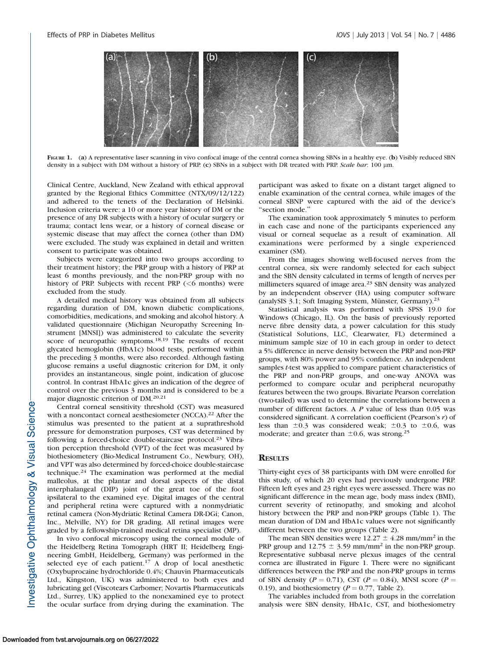

FIGURE 1. (a) A representative laser scanning in vivo confocal image of the central cornea showing SBNs in a healthy eye. (b) Visibly reduced SBN density in a subject with DM without a history of PRP. (c) SBNs in a subject with DR treated with PRP. Scale bar: 100 µm.

Clinical Centre, Auckland, New Zealand with ethical approval granted by the Regional Ethics Committee (NTX/09/12/122) and adhered to the tenets of the Declaration of Helsinki. Inclusion criteria were: a 10 or more year history of DM or the presence of any DR subjects with a history of ocular surgery or trauma; contact lens wear, or a history of corneal disease or systemic disease that may affect the cornea (other than DM) were excluded. The study was explained in detail and written consent to participate was obtained.

Subjects were categorized into two groups according to their treatment history; the PRP group with a history of PRP at least 6 months previously, and the non-PRP group with no history of PRP. Subjects with recent PRP  $(<$ 6 months) were excluded from the study.

A detailed medical history was obtained from all subjects regarding duration of DM, known diabetic complications, comorbidities, medications, and smoking and alcohol history. A validated questionnaire (Michigan Neuropathy Screening Instrument [MNSI]) was administered to calculate the severity score of neuropathic symptoms.<sup>18,19</sup> The results of recent glycated hemoglobin (HbA1c) blood tests, performed within the preceding 3 months, were also recorded. Although fasting glucose remains a useful diagnostic criterion for DM, it only provides an instantaneous, single point, indication of glucose control. In contrast HbA1c gives an indication of the degree of control over the previous 3 months and is considered to be a major diagnostic criterion of DM.20,21

Central corneal sensitivity threshold (CST) was measured with a noncontact corneal aesthesiometer (NCCA).<sup>22</sup> After the stimulus was presented to the patient at a suprathreshold pressure for demonstration purposes, CST was determined by following a forced-choice double-staircase protocol.<sup>23</sup> Vibration perception threshold (VPT) of the feet was measured by biothesiometery (Bio-Medical Instrument Co., Newbury, OH), and VPT was also determined by forced-choice double-staircase technique.<sup>24</sup> The examination was performed at the medial malleolus, at the plantar and dorsal aspects of the distal interphalangeal (DIP) joint of the great toe of the foot ipsilateral to the examined eye. Digital images of the central and peripheral retina were captured with a nonmydriatic retinal camera (Non-Mydriatic Retinal Camera DR-DGi; Canon, Inc., Melville, NY) for DR grading. All retinal images were graded by a fellowship-trained medical retina specialist (MP).

In vivo confocal microscopy using the corneal module of the Heidelberg Retina Tomograph (HRT II; Heidelberg Engineering GmbH, Heidelberg, Germany) was performed in the selected eye of each patient.<sup>17</sup> A drop of local anesthetic (Oxybuprocaine hydrochloride 0.4%; Chauvin Pharmaceuticals Ltd., Kingston, UK) was administered to both eyes and lubricating gel (Viscotears Carbomer; Novartis Pharmaceuticals Ltd., Surrey, UK) applied to the nonexamined eye to protect the ocular surface from drying during the examination. The

participant was asked to fixate on a distant target aligned to enable examination of the central cornea, while images of the corneal SBNP were captured with the aid of the device's ''section mode.''

The examination took approximately 5 minutes to perform in each case and none of the participants experienced any visual or corneal sequelae as a result of examination. All examinations were performed by a single experienced examiner (SM).

From the images showing well-focused nerves from the central cornea, six were randomly selected for each subject and the SBN density calculated in terms of length of nerves per millimeters squared of image area.<sup>23</sup> SBN density was analyzed by an independent observer (HA) using computer software (analySIS  $3.1$ ; Soft Imaging System, Münster, Germany).<sup>23</sup>

Statistical analysis was performed with SPSS 19.0 for Windows (Chicago, IL). On the basis of previously reported nerve fibre density data, a power calculation for this study (Statistical Solutions, LLC, Clearwater, FL) determined a minimum sample size of 10 in each group in order to detect a 5% difference in nerve density between the PRP and non-PRP groups, with 80% power and 95% confidence. An independent samples *t*-test was applied to compare patient characteristics of the PRP and non-PRP groups, and one-way ANOVA was performed to compare ocular and peripheral neuropathy features between the two groups. Bivariate Pearson correlation (two-tailed) was used to determine the correlations between a number of different factors. A P value of less than 0.05 was considered significant. A correlation coefficient (Pearson's r) of less than  $\pm 0.3$  was considered weak;  $\pm 0.3$  to  $\pm 0.6$ , was moderate; and greater than  $\pm 0.6$ , was strong.<sup>25</sup>

#### **RESULTS**

Thirty-eight eyes of 38 participants with DM were enrolled for this study, of which 20 eyes had previously undergone PRP. Fifteen left eyes and 23 right eyes were assessed. There was no significant difference in the mean age, body mass index (BMI), current severity of retinopathy, and smoking and alcohol history between the PRP and non-PRP groups (Table 1). The mean duration of DM and HbA1c values were not significantly different between the two groups (Table 2).

The mean SBN densities were 12.27  $\pm$  4.28 mm/mm<sup>2</sup> in the PRP group and 12.75  $\pm$  3.59 mm/mm<sup>2</sup> in the non-PRP group. Representative subbasal nerve plexus images of the central cornea are illustrated in Figure 1. There were no significant differences between the PRP and the non-PRP groups in terms of SBN density ( $P = 0.71$ ), CST ( $P = 0.84$ ), MNSI score ( $P =$ 0.19), and biothesiometry ( $P = 0.77$ , Table 2).

The variables included from both groups in the correlation analysis were SBN density, HbA1c, CST, and biothesiometry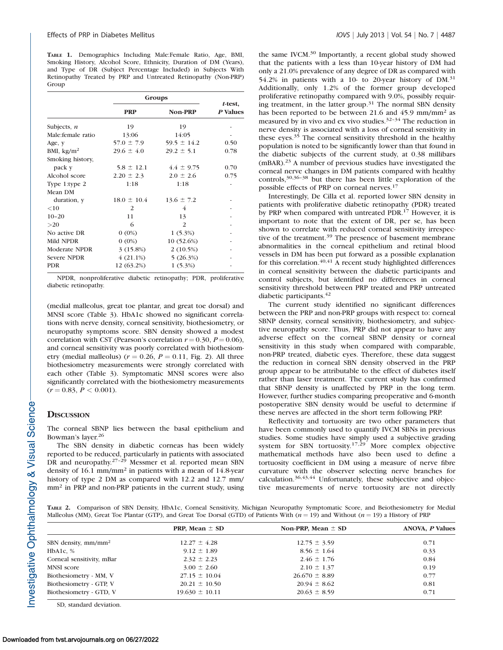TABLE 1. Demographics Including Male:Female Ratio, Age, BMI, Smoking History, Alcohol Score, Ethnicity, Duration of DM (Years), and Type of DR (Subject Percentage Included) in Subjects With Retinopathy Treated by PRP and Untreated Retinopathy (Non-PRP) Group

|                      | Groups          |                 |                     |  |
|----------------------|-----------------|-----------------|---------------------|--|
|                      | <b>PRP</b>      | <b>Non-PRP</b>  | t-test,<br>P Values |  |
| Subjects, $n$        | 19              | 19              |                     |  |
| Male: female ratio   | 13:06           | 14:05           |                     |  |
| Age, y               | $57.0 \pm 7.9$  | $59.5 \pm 14.2$ | 0.50                |  |
| BMI, $\text{kg/m}^2$ | $29.6 \pm 4.0$  | $29.2 \pm 5.1$  | 0.78                |  |
| Smoking history,     |                 |                 |                     |  |
| pack y               | $5.8 \pm 12.1$  | $4.4 \pm 9.75$  | 0.70                |  |
| Alcohol score        | $2.20 \pm 2.3$  | $2.0 \pm 2.6$   | 0.75                |  |
| Type 1:type 2        | 1:18            | 1:18            |                     |  |
| Mean DM              |                 |                 |                     |  |
| duration, y          | $18.0 \pm 10.4$ | $13.6 \pm 7.2$  |                     |  |
| $<$ 10               | 2               | 4               |                     |  |
| $10 - 20$            | 11              | 13              |                     |  |
| >20                  | 6               | 2               |                     |  |
| No active DR         | $0(0\%)$        | $1(5.3\%)$      |                     |  |
| Mild NPDR            | $0(0\%)$        | $10(52.6\%)$    |                     |  |
| <b>Moderate NPDR</b> | 3(15.8%)        | $2(10.5\%)$     |                     |  |
| Severe NPDR          | $4(21.1\%)$     | 5(26.3%)        |                     |  |
| <b>PDR</b>           | $12(63.2\%)$    | $1(5.3\%)$      |                     |  |

NPDR, nonproliferative diabetic retinopathy; PDR, proliferative diabetic retinopathy.

(medial malleolus, great toe plantar, and great toe dorsal) and MNSI score (Table 3). HbA1c showed no significant correlations with nerve density, corneal sensitivity, biothesiometry, or neuropathy symptoms score. SBN density showed a modest correlation with CST (Pearson's correlation  $r = 0.30$ ,  $P = 0.06$ ), and corneal sensitivity was poorly correlated with biothesiometry (medial malleolus) ( $r = 0.26$ ,  $P = 0.11$ , Fig. 2). All three biothesiometry measurements were strongly correlated with each other (Table 3). Symptomatic MNSI scores were also significantly correlated with the biothesiometry measurements  $(r = 0.83, P < 0.001)$ .

## **DISCUSSION**

The corneal SBNP lies between the basal epithelium and Bowman's layer.<sup>26</sup>

The SBN density in diabetic corneas has been widely reported to be reduced, particularly in patients with associated DR and neuropathy.<sup>27-29</sup> Messmer et al. reported mean SBN density of 16.1 mm/mm<sup>2</sup> in patients with a mean of 14.8-year history of type 2 DM as compared with 12.2 and 12.7 mm/ mm<sup>2</sup> in PRP and non-PRP patients in the current study, using the same IVCM.<sup>30</sup> Importantly, a recent global study showed that the patients with a less than 10-year history of DM had only a 21.0% prevalence of any degree of DR as compared with 54.2% in patients with a 10- to 20-year history of DM.<sup>31</sup> Additionally, only 1.2% of the former group developed proliferative retinopathy compared with 9.0%, possibly requiring treatment, in the latter group.<sup>31</sup> The normal SBN density has been reported to be between 21.6 and 45.9 mm/mm<sup>2</sup> as measured by in vivo and ex vivo studies.32–34 The reduction in nerve density is associated with a loss of corneal sensitivity in these eyes.<sup>35</sup> The corneal sensitivity threshold in the healthy population is noted to be significantly lower than that found in the diabetic subjects of the current study, at 0.38 millibars (mBAR).<sup>23</sup> A number of previous studies have investigated the corneal nerve changes in DM patients compared with healthy controls,30,36–38 but there has been little exploration of the possible effects of PRP on corneal nerves.17

Interestingly, De Cilla et al. reported lower SBN density in patients with proliferative diabetic retinopathy (PDR) treated by PRP when compared with untreated PDR.<sup>17</sup> However, it is important to note that the extent of DR, per se, has been shown to correlate with reduced corneal sensitivity irrespective of the treatment.<sup>39</sup> The presence of basement membrane abnormalities in the corneal epithelium and retinal blood vessels in DM has been put forward as a possible explanation for this correlation. $40,41$  A recent study highlighted differences in corneal sensitivity between the diabetic participants and control subjects, but identified no differences in corneal sensitivity threshold between PRP treated and PRP untreated diabetic participants.<sup>42</sup>

The current study identified no significant differences between the PRP and non-PRP groups with respect to: corneal SBNP density, corneal sensitivity, biothesiometry, and subjective neuropathy score. Thus, PRP did not appear to have any adverse effect on the corneal SBNP density or corneal sensitivity in this study when compared with comparable, non-PRP treated, diabetic eyes. Therefore, these data suggest the reduction in corneal SBN density observed in the PRP group appear to be attributable to the effect of diabetes itself rather than laser treatment. The current study has confirmed that SBNP density is unaffected by PRP in the long term. However, further studies comparing preoperative and 6-month postoperative SBN density would be useful to determine if these nerves are affected in the short term following PRP.

Reflectivity and tortuosity are two other parameters that have been commonly used to quantify IVCM SBNs in previous studies. Some studies have simply used a subjective grading system for SBN tortuosity.<sup>17,29</sup> More complex objective mathematical methods have also been used to define a tortuosity coefficient in DM using a measure of nerve fibre curvature with the observer selecting nerve branches for calculation.36,43,44 Unfortunately, these subjective and objective measurements of nerve tortuosity are not directly

TABLE 2. Comparison of SBN Density, HbA1c, Corneal Sensitivity, Michigan Neuropathy Symptomatic Score, and Beiothesiometry for Medial Malleolus (MM), Great Toe Plantar (GTP), and Great Toe Dorsal (GTD) of Patients With  $(n = 19)$  and Without  $(n = 19)$  a History of PRP

|                           | <b>PRP, Mean</b> $\pm$ SD | Non-PRP, Mean $\pm$ SD | <b>ANOVA, P Values</b> |  |
|---------------------------|---------------------------|------------------------|------------------------|--|
| SBN density, $mm/mm2$     | $12.27 \pm 4.28$          | $12.75 \pm 3.59$       | 0.71                   |  |
| HbA1c, $%$                | $9.12 \pm 1.89$           | $8.56 \pm 1.64$        | 0.33                   |  |
| Corneal sensitivity, mBar | $2.32 \pm 2.23$           | $2.46 \pm 1.76$        | 0.84                   |  |
| <b>MNSI</b> score         | $3.00 \pm 2.60$           | $2.10 \pm 1.37$        | 0.19                   |  |
| Biothesiometry - MM, V    | $27.15 \pm 10.04$         | $26.670 \pm 8.89$      | 0.77                   |  |
| Biothesiometry - GTP, V   | $20.21 \pm 10.50$         | $20.94 \pm 8.62$       | 0.81                   |  |
| Biothesiometry - GTD, V   | $19.630 \pm 10.11$        | $20.63 \pm 8.59$       | 0.71                   |  |

SD, standard deviation.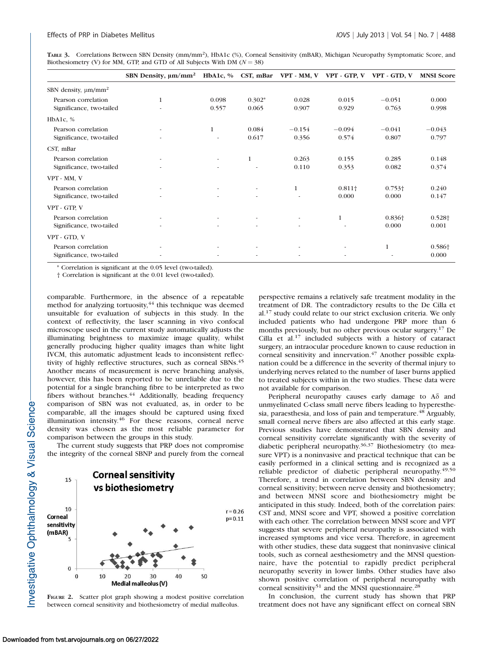TABLE 3. Correlations Between SBN Density (mm/mm2), HbA1c (%), Corneal Sensitivity (mBAR), Michigan Neuropathy Symptomatic Score, and Biothesiometry (V) for MM, GTP, and GTD of All Subjects With DM ( $N = 38$ )

|                                      | SBN Density, $\mu m/mm^2$ HbA1c, % |                          | CST, mBar                |                          |                | VPT - MM, V VPT - GTP, V VPT - GTD, V | <b>MNSI Score</b>  |
|--------------------------------------|------------------------------------|--------------------------|--------------------------|--------------------------|----------------|---------------------------------------|--------------------|
| SBN density, $\mu$ m/mm <sup>2</sup> |                                    |                          |                          |                          |                |                                       |                    |
| Pearson correlation                  | $\mathbf{1}$                       | 0.098                    | $0.302*$                 | 0.028                    | 0.015          | $-0.051$                              | 0.000              |
| Significance, two-tailed             |                                    | 0.557                    | 0.065                    | 0.907                    | 0.929          | 0.763                                 | 0.998              |
| HbA1c, $%$                           |                                    |                          |                          |                          |                |                                       |                    |
| Pearson correlation                  |                                    | $\mathbf{1}$             | 0.084                    | $-0.154$                 | $-0.094$       | $-0.041$                              | $-0.043$           |
| Significance, two-tailed             |                                    |                          | 0.617                    | 0.356                    | 0.574          | 0.807                                 | 0.797              |
| CST, mBar                            |                                    |                          |                          |                          |                |                                       |                    |
| Pearson correlation                  | $\overline{\phantom{a}}$           | $\sim$                   | 1                        | 0.263                    | 0.155          | 0.285                                 | 0.148              |
| Significance, two-tailed             |                                    |                          | ٠                        | 0.110                    | 0.353          | 0.082                                 | 0.374              |
| VPT - MM, V                          |                                    |                          |                          |                          |                |                                       |                    |
| Pearson correlation                  | $\overline{\phantom{a}}$           | $\overline{\phantom{a}}$ | $\overline{\phantom{a}}$ | $\mathbf{1}$             | $0.811\dagger$ | $0.753\dagger$                        | 0.240              |
| Significance, two-tailed             | ٠                                  | ٠                        | $\overline{\phantom{a}}$ | ٠                        | 0.000          | 0.000                                 | 0.147              |
| VPT - GTP, V                         |                                    |                          |                          |                          |                |                                       |                    |
| Pearson correlation                  | ٠                                  | $\overline{\phantom{a}}$ | $\sim$                   | $\overline{\phantom{a}}$ | 1              | $0.836\dagger$                        | 0.528 <sup>+</sup> |
| Significance, two-tailed             |                                    |                          |                          |                          |                | 0.000                                 | 0.001              |
| VPT - GTD, V                         |                                    |                          |                          |                          |                |                                       |                    |
| Pearson correlation                  |                                    |                          | $\overline{\phantom{a}}$ | $\overline{\phantom{a}}$ |                | 1                                     | 0.586 <sup>+</sup> |
| Significance, two-tailed             |                                    |                          | $\overline{\phantom{a}}$ | ٠                        |                |                                       | 0.000              |

\* Correlation is significant at the 0.05 level (two-tailed).

† Correlation is significant at the 0.01 level (two-tailed).

comparable. Furthermore, in the absence of a repeatable method for analyzing tortuosity, $44$  this technique was deemed unsuitable for evaluation of subjects in this study. In the context of reflectivity, the laser scanning in vivo confocal microscope used in the current study automatically adjusts the illuminating brightness to maximize image quality, whilst generally producing higher quality images than white light IVCM, this automatic adjustment leads to inconsistent reflectivity of highly reflective structures, such as corneal SBNs.<sup>45</sup> Another means of measurement is nerve branching analysis, however, this has been reported to be unreliable due to the potential for a single branching fibre to be interpreted as two fibers without branches.<sup>44</sup> Additionally, beading frequency comparison of SBN was not evaluated, as, in order to be comparable, all the images should be captured using fixed illumination intensity.<sup>46</sup> For these reasons, corneal nerve density was chosen as the most reliable parameter for comparison between the groups in this study.

The current study suggests that PRP does not compromise the integrity of the corneal SBNP and purely from the corneal



FIGURE 2. Scatter plot graph showing a modest positive correlation between corneal sensitivity and biothesiometry of medial malleolus.

perspective remains a relatively safe treatment modality in the treatment of DR. The contradictory results to the De Cilla et al.<sup>17</sup> study could relate to our strict exclusion criteria. We only included patients who had undergone PRP more than 6 months previously, but no other previous ocular surgery.17 De Cilla et al.<sup>17</sup> included subjects with a history of cataract surgery, an intraocular procedure known to cause reduction in corneal sensitivity and innervation.<sup>47</sup> Another possible explanation could be a difference in the severity of thermal injury to underlying nerves related to the number of laser burns applied to treated subjects within in the two studies. These data were not available for comparison.

Peripheral neuropathy causes early damage to  $A\delta$  and unmyelinated C-class small nerve fibers leading to hyperesthesia, paraesthesia, and loss of pain and temperature.<sup>48</sup> Arguably, small corneal nerve fibers are also affected at this early stage. Previous studies have demonstrated that SBN density and corneal sensitivity correlate significantly with the severity of diabetic peripheral neuropathy.36,37 Biothesiometry (to measure VPT) is a noninvasive and practical technique that can be easily performed in a clinical setting and is recognized as a reliable predictor of diabetic peripheral neuropathy.<sup>49,50</sup> Therefore, a trend in correlation between SBN density and corneal sensitivity; between nerve density and biothesiometry; and between MNSI score and biothesiometry might be anticipated in this study. Indeed, both of the correlation pairs: CST and, MNSI score and VPT, showed a positive correlation with each other. The correlation between MNSI score and VPT suggests that severe peripheral neuropathy is associated with increased symptoms and vice versa. Therefore, in agreement with other studies, these data suggest that noninvasive clinical tools, such as corneal aesthesiometry and the MNSI questionnaire, have the potential to rapidly predict peripheral neuropathy severity in lower limbs. Other studies have also shown positive correlation of peripheral neuropathy with corneal sensitivity<sup>51</sup> and the MNSI questionnaire.<sup>28</sup>

In conclusion, the current study has shown that PRP treatment does not have any significant effect on corneal SBN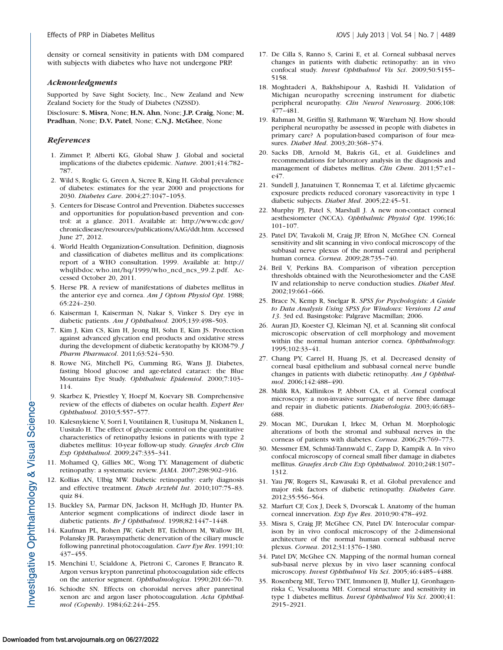density or corneal sensitivity in patients with DM compared with subjects with diabetes who have not undergone PRP.

## Acknowledgments

Supported by Save Sight Society, Inc., New Zealand and New Zealand Society for the Study of Diabetes (NZSSD).

Disclosure: S. Misra, None; H.N. Ahn, None; J.P. Craig, None; M. Pradhan, None; D.V. Patel, None; C.N.J. McGhee, None

## **References**

- 1. Zimmet P, Alberti KG, Global Shaw J. Global and societal implications of the diabetes epidemic. Nature. 2001;414:782– 787.
- 2. Wild S, Roglic G, Green A, Sicree R, King H. Global prevalence of diabetes: estimates for the year 2000 and projections for 2030. Diabetes Care. 2004;27:1047–1053.
- 3. Centers for Disease Control and Prevention. Diabetes successes and opportunities for population-based prevention and control: at a glance. 2011. Available at: http://www.cdc.gov/ chronicdisease/resources/publications/AAG/ddt.htm. Accessed June 27, 2012.
- 4. World Health Organization-Consultation. Definition, diagnosis and classification of diabetes mellitus and its complications: report of a WHO consultation. 1999. Available at: http:// whqlibdoc.who.int/hq/1999/who\_ncd\_ncs\_99.2.pdf. Accessed October 20, 2011.
- 5. Herse PR. A review of manifestations of diabetes mellitus in the anterior eye and cornea. Am J Optom Physiol Opt. 1988; 65:224–230.
- 6. Kaiserman I, Kaiserman N, Nakar S, Vinker S. Dry eye in diabetic patients. Am J Ophthalmol. 2005;139:498-503.
- 7. Kim J, Kim CS, Kim H, Jeong IH, Sohn E, Kim JS. Protection against advanced glycation end products and oxidative stress during the development of diabetic keratopathy by KIOM-79. J Pharm Pharmacol. 2011;63:524–530.
- 8. Rowe NG, Mitchell PG, Cumming RG, Wans JJ. Diabetes, fasting blood glucose and age-related cataract: the Blue Mountains Eye Study. Ophthalmic Epidemiol. 2000;7:103– 114.
- 9. Skarbez K, Priestley Y, Hoepf M, Koevary SB. Comprehensive review of the effects of diabetes on ocular health. Expert Rev Ophthalmol. 2010;5:557–577.
- 10. Kalesnykiene V, Sorri I, Voutilainen R, Uusitupa M, Niskanen L, Uusitalo H. The effect of glycaemic control on the quantitative characteristics of retinopathy lesions in patients with type 2 diabetes mellitus: 10-year follow-up study. Graefes Arch Clin Exp Ophthalmol. 2009;247:335–341.
- 11. Mohamed Q, Gillies MC, Wong TY. Management of diabetic retinopathy: a systematic review. JAMA. 2007;298:902–916.
- 12. Kollias AN, Ulbig MW. Diabetic retinopathy: early diagnosis and effective treatment. Dtsch Arztebl Int. 2010;107:75–83. quiz 84.
- 13. Buckley SA, Parmar DN, Jackson H, McHugh JD, Hunter PA. Anterior segment complications of indirect diode laser in diabetic patients. Br J Ophthalmol. 1998;82:1447–1448.
- 14. Kaufman PL, Rohen JW, Gabelt BT, Eichhorn M, Wallow IH, Polansky JR. Parasympathetic denervation of the ciliary muscle following panretinal photocoagulation. Curr Eye Res. 1991;10: 437–455.
- 15. Menchini U, Scialdone A, Pietroni C, Carones F, Brancato R. Argon versus krypton panretinal photocoagulation side effects on the anterior segment. Ophthalmologica. 1990;201:66–70.
- 16. Schiodte SN. Effects on choroidal nerves after panretinal xenon arc and argon laser photocoagulation. Acta Ophthalmol (Copenh). 1984;62:244–255.
- 17. De Cilla S, Ranno S, Carini E, et al. Corneal subbasal nerves changes in patients with diabetic retinopathy: an in vivo confocal study. Invest Ophthalmol Vis Sci. 2009;50:5155– 5158.
- 18. Moghtaderi A, Bakhshipour A, Rashidi H. Validation of Michigan neuropathy screening instrument for diabetic peripheral neuropathy. Clin Neurol Neurosurg. 2006;108: 477–481.
- 19. Rahman M, Griffin SJ, Rathmann W, Wareham NJ. How should peripheral neuropathy be assessed in people with diabetes in primary care? A population-based comparison of four measures. Diabet Med. 2003;20:368–374.
- 20. Sacks DB, Arnold M, Bakris GL, et al. Guidelines and recommendations for laboratory analysis in the diagnosis and management of diabetes mellitus. Clin Chem. 2011;57:e1e47.
- 21. Sundell J, Janatuinen T, Ronnemaa T, et al. Lifetime glycaemic exposure predicts reduced coronary vasoreactivity in type 1 diabetic subjects. Diabet Med. 2005;22:45–51.
- 22. Murphy PJ, Patel S, Marshall J. A new non-contact corneal aesthesiometer (NCCA). Ophthalmic Physiol Opt. 1996;16: 101–107.
- 23. Patel DV, Tavakoli M, Craig JP, Efron N, McGhee CN. Corneal sensitivity and slit scanning in vivo confocal microscopy of the subbasal nerve plexus of the normal central and peripheral human cornea. Cornea. 2009;28:735–740.
- 24. Bril V, Perkins BA. Comparison of vibration perception thresholds obtained with the Neurothesiometer and the CASE IV and relationship to nerve conduction studies. Diabet Med. 2002;19:661–666.
- 25. Brace N, Kemp R, Snelgar R. SPSS for Psychologists: A Guide to Data Analysis Using SPSS for Windows: Versions 12 and 13. 3rd ed. Basingstoke: Palgrave Macmillan; 2006.
- 26. Auran JD, Koester CJ, Kleiman NJ, et al. Scanning slit confocal microscopic observation of cell morphology and movement within the normal human anterior cornea. Ophthalmology. 1995;102:33–41.
- 27. Chang PY, Carrel H, Huang JS, et al. Decreased density of corneal basal epithelium and subbasal corneal nerve bundle changes in patients with diabetic retinopathy. Am J Ophthalmol. 2006;142:488–490.
- 28. Malik RA, Kallinikos P, Abbott CA, et al. Corneal confocal microscopy: a non-invasive surrogate of nerve fibre damage and repair in diabetic patients. Diabetologia. 2003;46:683– 688.
- 29. Mocan MC, Durukan I, Irkec M, Orhan M. Morphologic alterations of both the stromal and subbasal nerves in the corneas of patients with diabetes. Cornea. 2006;25:769–773.
- 30. Messmer EM, Schmid-Tannwald C, Zapp D, Kampik A. In vivo confocal microscopy of corneal small fiber damage in diabetes mellitus. Graefes Arch Clin Exp Ophthalmol. 2010;248:1307– 1312.
- 31. Yau JW, Rogers SL, Kawasaki R, et al. Global prevalence and major risk factors of diabetic retinopathy. Diabetes Care. 2012;35:556–564.
- 32. Marfurt CF, Cox J, Deek S, Dvorscak L. Anatomy of the human corneal innervation. Exp Eye Res. 2010;90:478–492.
- 33. Misra S, Craig JP, McGhee CN, Patel DV. Interocular comparison by in vivo confocal microscopy of the 2-dimensional architecture of the normal human corneal subbasal nerve plexus. Cornea. 2012;31:1376–1380.
- 34. Patel DV, McGhee CN. Mapping of the normal human corneal sub-basal nerve plexus by in vivo laser scanning confocal microscopy. Invest Ophthalmol Vis Sci. 2005;46:4485–4488.
- 35. Rosenberg ME, Tervo TMT, Immonen IJ, Muller LJ, Gronhagenriska C, Vesaluoma MH. Corneal structure and sensitivity in type 1 diabetes mellitus. Invest Ophthalmol Vis Sci. 2000;41: 2915–2921.